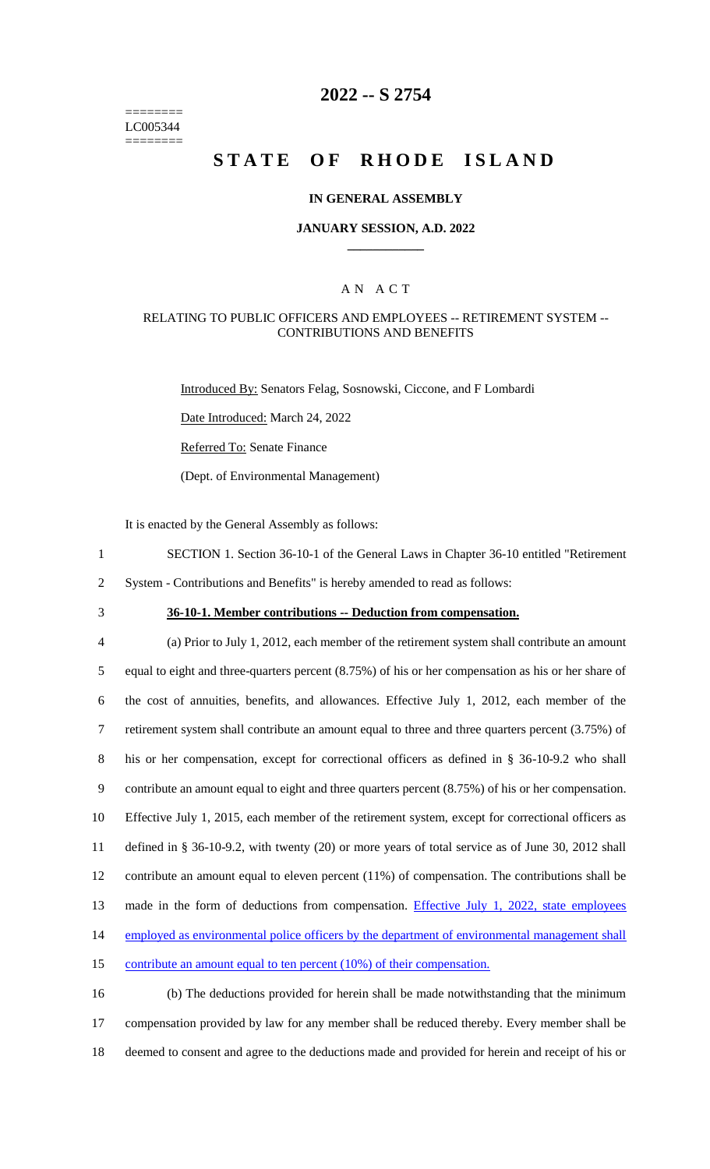======== LC005344 ========

# **2022 -- S 2754**

# **STATE OF RHODE ISLAND**

#### **IN GENERAL ASSEMBLY**

### **JANUARY SESSION, A.D. 2022 \_\_\_\_\_\_\_\_\_\_\_\_**

## A N A C T

#### RELATING TO PUBLIC OFFICERS AND EMPLOYEES -- RETIREMENT SYSTEM -- CONTRIBUTIONS AND BENEFITS

Introduced By: Senators Felag, Sosnowski, Ciccone, and F Lombardi

Date Introduced: March 24, 2022

Referred To: Senate Finance

(Dept. of Environmental Management)

It is enacted by the General Assembly as follows:

- 1 SECTION 1. Section 36-10-1 of the General Laws in Chapter 36-10 entitled "Retirement
- 2 System Contributions and Benefits" is hereby amended to read as follows:
- 

## 3 **36-10-1. Member contributions -- Deduction from compensation.**

 (a) Prior to July 1, 2012, each member of the retirement system shall contribute an amount equal to eight and three-quarters percent (8.75%) of his or her compensation as his or her share of the cost of annuities, benefits, and allowances. Effective July 1, 2012, each member of the retirement system shall contribute an amount equal to three and three quarters percent (3.75%) of his or her compensation, except for correctional officers as defined in § 36-10-9.2 who shall contribute an amount equal to eight and three quarters percent (8.75%) of his or her compensation. Effective July 1, 2015, each member of the retirement system, except for correctional officers as defined in § 36-10-9.2, with twenty (20) or more years of total service as of June 30, 2012 shall contribute an amount equal to eleven percent (11%) of compensation. The contributions shall be 13 made in the form of deductions from compensation. Effective July 1, 2022, state employees employed as environmental police officers by the department of environmental management shall 15 contribute an amount equal to ten percent (10%) of their compensation.

16 (b) The deductions provided for herein shall be made notwithstanding that the minimum 17 compensation provided by law for any member shall be reduced thereby. Every member shall be 18 deemed to consent and agree to the deductions made and provided for herein and receipt of his or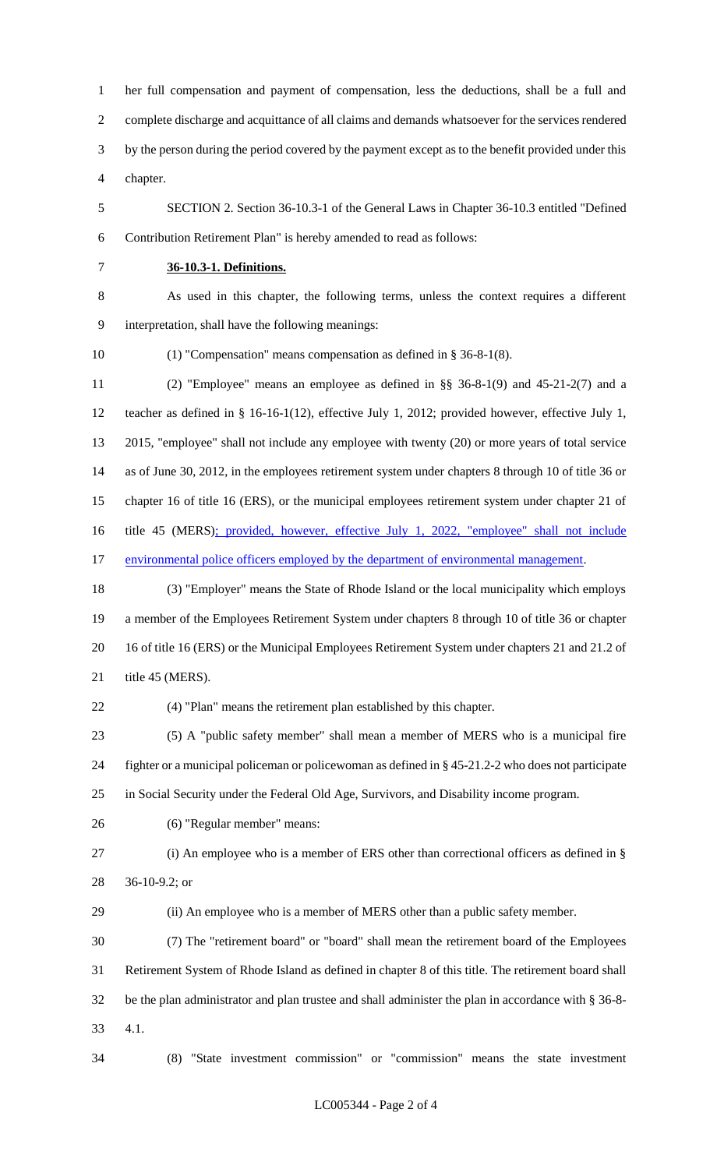her full compensation and payment of compensation, less the deductions, shall be a full and complete discharge and acquittance of all claims and demands whatsoever for the services rendered by the person during the period covered by the payment except as to the benefit provided under this chapter.

 SECTION 2. Section 36-10.3-1 of the General Laws in Chapter 36-10.3 entitled "Defined Contribution Retirement Plan" is hereby amended to read as follows:

## **36-10.3-1. Definitions.**

 As used in this chapter, the following terms, unless the context requires a different interpretation, shall have the following meanings:

(1) "Compensation" means compensation as defined in § 36-8-1(8).

 (2) "Employee" means an employee as defined in §§ 36-8-1(9) and 45-21-2(7) and a teacher as defined in § 16-16-1(12), effective July 1, 2012; provided however, effective July 1, 2015, "employee" shall not include any employee with twenty (20) or more years of total service as of June 30, 2012, in the employees retirement system under chapters 8 through 10 of title 36 or chapter 16 of title 16 (ERS), or the municipal employees retirement system under chapter 21 of title 45 (MERS); provided, however, effective July 1, 2022, "employee" shall not include 17 environmental police officers employed by the department of environmental management.

 (3) "Employer" means the State of Rhode Island or the local municipality which employs a member of the Employees Retirement System under chapters 8 through 10 of title 36 or chapter 16 of title 16 (ERS) or the Municipal Employees Retirement System under chapters 21 and 21.2 of 21 title 45 (MERS).

(4) "Plan" means the retirement plan established by this chapter.

 (5) A "public safety member" shall mean a member of MERS who is a municipal fire fighter or a municipal policeman or policewoman as defined in § 45-21.2-2 who does not participate in Social Security under the Federal Old Age, Survivors, and Disability income program.

(6) "Regular member" means:

 (i) An employee who is a member of ERS other than correctional officers as defined in § 36-10-9.2; or

(ii) An employee who is a member of MERS other than a public safety member.

 (7) The "retirement board" or "board" shall mean the retirement board of the Employees Retirement System of Rhode Island as defined in chapter 8 of this title. The retirement board shall be the plan administrator and plan trustee and shall administer the plan in accordance with § 36-8- 4.1.

(8) "State investment commission" or "commission" means the state investment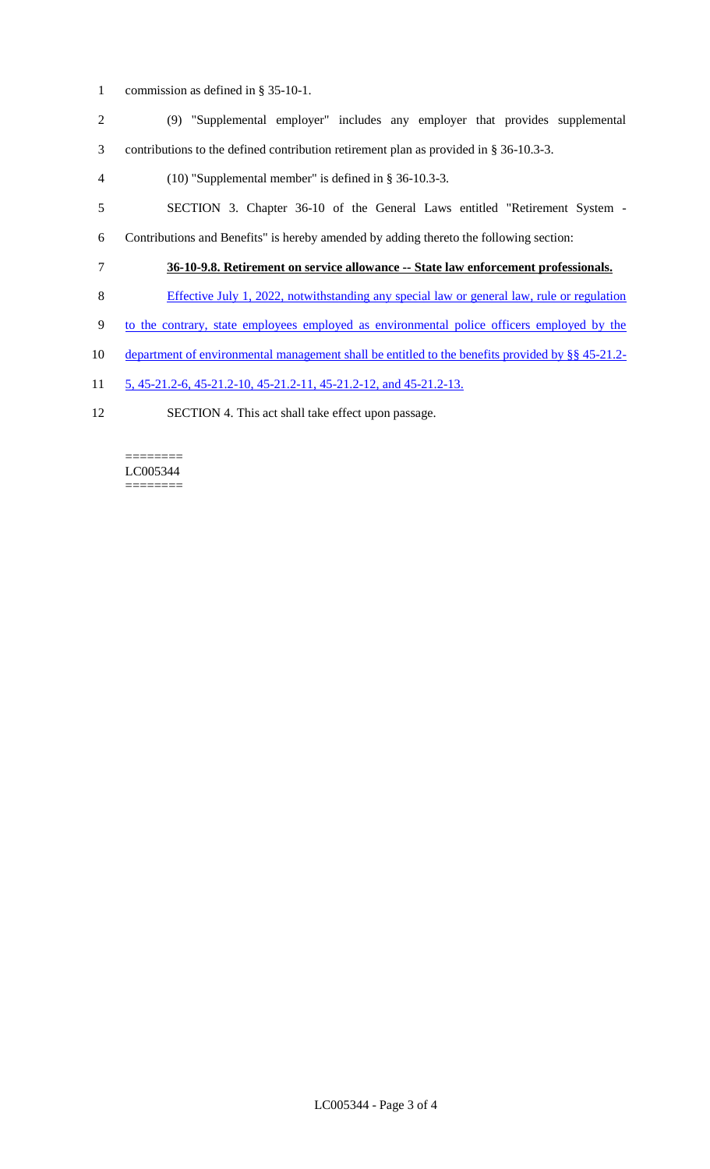- commission as defined in § 35-10-1.
- (9) "Supplemental employer" includes any employer that provides supplemental contributions to the defined contribution retirement plan as provided in § 36-10.3-3.
- (10) "Supplemental member" is defined in § 36-10.3-3.
- SECTION 3. Chapter 36-10 of the General Laws entitled "Retirement System -
- Contributions and Benefits" is hereby amended by adding thereto the following section:
- **36-10-9.8. Retirement on service allowance -- State law enforcement professionals.**
- Effective July 1, 2022, notwithstanding any special law or general law, rule or regulation
- to the contrary, state employees employed as environmental police officers employed by the
- department of environmental management shall be entitled to the benefits provided by §§ 45-21.2-
- 5, 45-21.2-6, 45-21.2-10, 45-21.2-11, 45-21.2-12, and 45-21.2-13.
- SECTION 4. This act shall take effect upon passage.

======== LC005344 ========